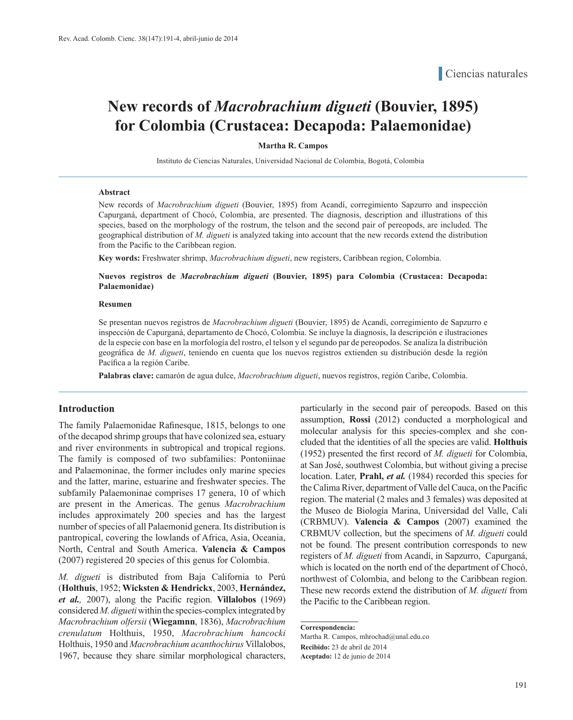# **New records of** *Macrobrachium digueti* **(Bouvier, 1895) for Colombia (Crustacea: Decapoda: Palaemonidae)**

#### **Martha R. Campos**

Instituto de Ciencias Naturales, Universidad Nacional de Colombia, Bogotá, Colombia

#### **Abstract**

New records of *Macrobrachium digueti* (Bouvier, 1895) from Acandí, corregimiento Sapzurro and inspección Capurganá, department of Chocó, Colombia, are presented. The diagnosis, description and illustrations of this species, based on the morphology of the rostrum, the telson and the second pair of pereopods, are included. The geographical distribution of *M. digueti* is analyzed taking into account that the new records extend the distribution from the Pacific to the Caribbean region.

**Key words:** Freshwater shrimp, *Macrobrachium digueti*, new registers, Caribbean region, Colombia.

**Nuevos registros de** *Macrobrachium digueti* **(Bouvier, 1895) para Colombia (Crustacea: Decapoda: Palaemonidae)**

#### **Resumen**

Se presentan nuevos registros de *Macrobrachium digueti* (Bouvier, 1895) de Acandí, corregimiento de Sapzurro e inspección de Capurganá, departamento de Chocó, Colombia. Se incluye la diagnosis, la descripción e ilustraciones de la especie con base en la morfología del rostro, el telson y el segundo par de pereopodos. Se analiza la distribución geográfica de *M. digueti*, teniendo en cuenta que los nuevos registros extienden su distribución desde la región Pacífica a la región Caribe.

**Palabras clave:** camarón de agua dulce, *Macrobrachium digueti*, nuevos registros, región Caribe, Colombia.

#### **Introduction**

The family Palaemonidae Rafinesque, 1815, belongs to one of the decapod shrimp groups that have colonized sea, estuary and river environments in subtropical and tropical regions. The family is composed of two subfamilies: Pontoniinae and Palaemoninae, the former includes only marine species and the latter, marine, estuarine and freshwater species. The subfamily Palaemoninae comprises 17 genera, 10 of which are present in the Americas. The genus *Macrobrachium* includes approximately 200 species and has the largest number of species of all Palaemonid genera. Its distribution is pantropical, covering the lowlands of Africa, Asia, Oceania, North, Central and South America. **Valencia & Campos** (2007) registered 20 species of this genus for Colombia.

*M. digueti* is distributed from Baja California to Perú (**Holthuis**, 1952; **Wicksten & Hendrickx**, 2003, **Hernández,**  *et al.,* 2007), along the Pacific region. **Villalobos** (1969) considered *M. digueti* within the species-complex integrated by *Macrobrachium olfersii* (**Wiegamnn**, 1836), *Macrobrachium crenulatum* Holthuis, 1950, *Macrobrachium hancocki*  Holthuis, 1950 and *Macrobrachium acanthochirus* Villalobos, 1967, because they share similar morphological characters, particularly in the second pair of pereopods. Based on this assumption, **Rossi** (2012) conducted a morphological and molecular analysis for this species-complex and she concluded that the identities of all the species are valid. **Holthuis** (1952) presented the first record of *M. digueti* for Colombia, at San José, southwest Colombia, but without giving a precise location. Later, **Prahl,** *et al.* (1984) recorded this species for the Calima River, department of Valle del Cauca, on the Pacific region. The material (2 males and 3 females) was deposited at the Museo de Biología Marina, Universidad del Valle, Cali (CRBMUV). **Valencia & Campos** (2007) examined the CRBMUV collection, but the specimens of *M. digueti* could not be found. The present contribution corresponds to new registers of *M. digueti* from Acandí, in Sapzurro, Capurganá, which is located on the north end of the department of Chocó, northwest of Colombia, and belong to the Caribbean region. These new records extend the distribution of *M. digueti* from the Pacific to the Caribbean region.

**Correspondencia:**

Martha R. Campos, mhrochad@unal.edu.co **Recibido:** 23 de abril de 2014 **Aceptado:** 12 de junio de 2014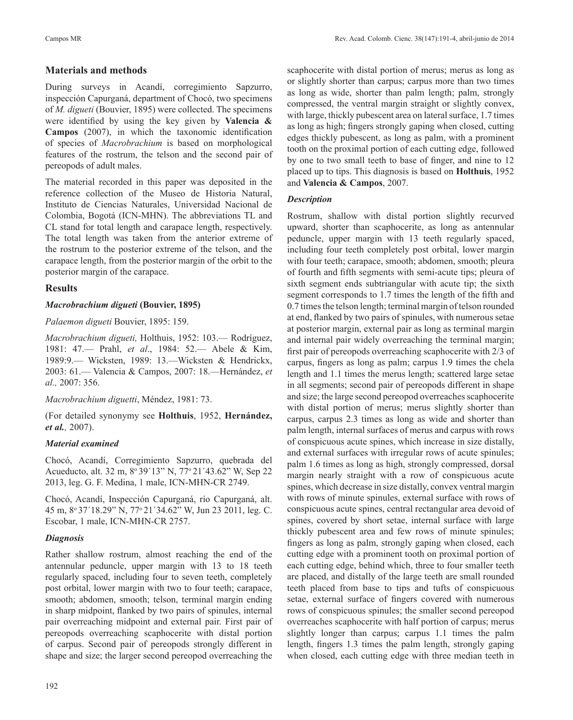# **Materials and methods**

During surveys in Acandí, corregimiento Sapzurro, inspección Capurganá, department of Chocó, two specimens of *M. digueti* (Bouvier, 1895) were collected. The specimens were identified by using the key given by **Valencia & Campos** (2007), in which the taxonomic identification of species of *Macrobrachium* is based on morphological features of the rostrum, the telson and the second pair of pereopods of adult males.

The material recorded in this paper was deposited in the reference collection of the Museo de Historia Natural, Instituto de Ciencias Naturales, Universidad Nacional de Colombia, Bogotá (ICN-MHN). The abbreviations TL and CL stand for total length and carapace length, respectively. The total length was taken from the anterior extreme of the rostrum to the posterior extreme of the telson, and the carapace length, from the posterior margin of the orbit to the posterior margin of the carapace.

# **Results**

# *Macrobrachium digueti* **(Bouvier, 1895)**

## *Palaemon digueti* Bouvier, 1895: 159.

*Macrobrachium digueti,* Holthuis, 1952: 103.— Rodríguez, 1981: 47.— Prahl, *et al*., 1984: 52.— Abele & Kim, 1989:9.— Wicksten, 1989: 13.—Wicksten & Hendrickx, 2003: 61.— Valencia & Campos, 2007: 18.—Hernández, *et al.,* 2007: 356.

# *Macrobrachium diguetti*, Méndez, 1981: 73.

(For detailed synonymy see **Holthuis**, 1952, **Hernández,**  *et al.,* 2007).

# *Material examined*

Chocó, Acandí, Corregimiento Sapzurro, quebrada del Acueducto, alt. 32 m, 8°39′13" N, 77°21′43.62" W, Sep 22 2013, leg. G. F. Medina, 1 male, ICN-MHN-CR 2749.

Chocó, Acandí, Inspección Capurganá, río Capurganá, alt. 45 m, 8o 37´18.29" N, 77o 21´34.62" W, Jun 23 2011, leg. C. Escobar, 1 male, ICN-MHN-CR 2757.

# *Diagnosis*

Rather shallow rostrum, almost reaching the end of the antennular peduncle, upper margin with 13 to 18 teeth regularly spaced, including four to seven teeth, completely post orbital, lower margin with two to four teeth; carapace, smooth; abdomen, smooth; telson, terminal margin ending in sharp midpoint, flanked by two pairs of spinules, internal pair overreaching midpoint and external pair. First pair of pereopods overreaching scaphocerite with distal portion of carpus. Second pair of pereopods strongly different in shape and size; the larger second pereopod overreaching the scaphocerite with distal portion of merus; merus as long as or slightly shorter than carpus; carpus more than two times as long as wide, shorter than palm length; palm, strongly compressed, the ventral margin straight or slightly convex, with large, thickly pubescent area on lateral surface, 1.7 times as long as high; fingers strongly gaping when closed, cutting edges thickly pubescent, as long as palm, with a prominent tooth on the proximal portion of each cutting edge, followed by one to two small teeth to base of finger, and nine to 12 placed up to tips. This diagnosis is based on **Holthuis**, 1952 and **Valencia & Campos**, 2007.

# *Description*

Rostrum, shallow with distal portion slightly recurved upward, shorter than scaphocerite, as long as antennular peduncle, upper margin with 13 teeth regularly spaced, including four teeth completely post orbital, lower margin with four teeth; carapace, smooth; abdomen, smooth; pleura of fourth and fifth segments with semi-acute tips; pleura of sixth segment ends subtriangular with acute tip; the sixth segment corresponds to 1.7 times the length of the fifth and 0.7 times the telson length; terminal margin of telson rounded at end, flanked by two pairs of spinules, with numerous setae at posterior margin, external pair as long as terminal margin and internal pair widely overreaching the terminal margin; first pair of pereopods overreaching scaphocerite with 2/3 of carpus, fingers as long as palm; carpus 1.9 times the chela length and 1.1 times the merus length; scattered large setae in all segments; second pair of pereopods different in shape and size; the large second pereopod overreaches scaphocerite with distal portion of merus; merus slightly shorter than carpus, carpus 2.3 times as long as wide and shorter than palm length, internal surfaces of merus and carpus with rows of conspicuous acute spines, which increase in size distally, and external surfaces with irregular rows of acute spinules; palm 1.6 times as long as high, strongly compressed, dorsal margin nearly straight with a row of conspicuous acute spines, which decrease in size distally, convex ventral margin with rows of minute spinules, external surface with rows of conspicuous acute spines, central rectangular area devoid of spines, covered by short setae, internal surface with large thickly pubescent area and few rows of minute spinules; fingers as long as palm, strongly gaping when closed, each cutting edge with a prominent tooth on proximal portion of each cutting edge, behind which, three to four smaller teeth are placed, and distally of the large teeth are small rounded teeth placed from base to tips and tufts of conspicuous setae, external surface of fingers covered with numerous rows of conspicuous spinules; the smaller second pereopod overreaches scaphocerite with half portion of carpus; merus slightly longer than carpus; carpus 1.1 times the palm length, fingers 1.3 times the palm length, strongly gaping when closed, each cutting edge with three median teeth in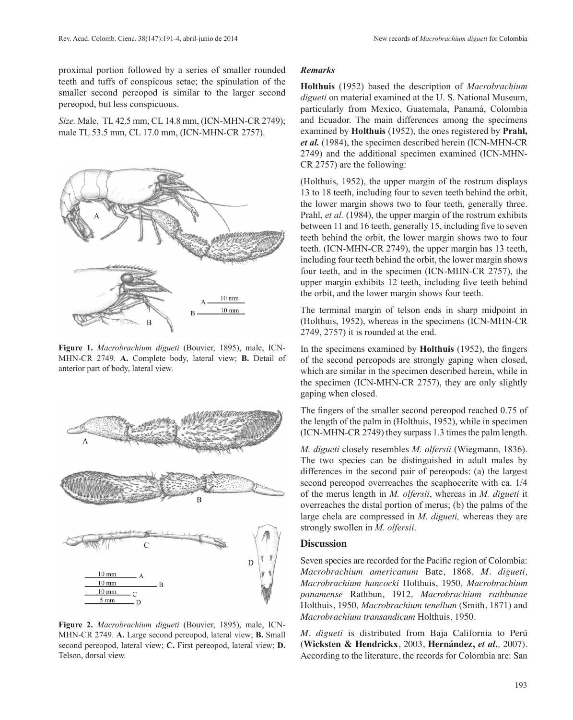proximal portion followed by a series of smaller rounded teeth and tuffs of conspicous setae; the spinulation of the smaller second pereopod is similar to the larger second pereopod, but less conspicuous.

*Size.* Male, TL 42.5 mm, CL 14.8 mm, (ICN-MHN-CR 2749); male TL 53.5 mm, CL 17.0 mm, (ICN-MHN-CR 2757).



**Figure 1.** *Macrobrachium digueti* (Bouvier, 1895), male, ICN-MHN-CR 2749. **A.** Complete body, lateral view; **B.** Detail of anterior part of body, lateral view.



**Figure 2.** *Macrobrachium digueti* (Bouvier, 1895), male, ICN-MHN-CR 2749. **A.** Large second pereopod, lateral view; **B.** Small second pereopod, lateral view; **C.** First pereopod, lateral view; **D.** Telson, dorsal view.

#### *Remarks*

**Holthuis** (1952) based the description of *Macrobrachium digueti* on material examined at the U. S. National Museum, particularly from Mexico, Guatemala, Panamá, Colombia and Ecuador. The main differences among the specimens examined by **Holthuis** (1952), the ones registered by **Prahl,**  *et al.* (1984), the specimen described herein (ICN-MHN-CR 2749) and the additional specimen examined (ICN-MHN-CR 2757) are the following:

(Holthuis, 1952), the upper margin of the rostrum displays 13 to 18 teeth, including four to seven teeth behind the orbit, the lower margin shows two to four teeth, generally three. Prahl, *et al.* (1984), the upper margin of the rostrum exhibits between 11 and 16 teeth, generally 15, including five to seven teeth behind the orbit, the lower margin shows two to four teeth. (ICN-MHN-CR 2749), the upper margin has 13 teeth, including four teeth behind the orbit, the lower margin shows four teeth, and in the specimen (ICN-MHN-CR 2757), the upper margin exhibits 12 teeth, including five teeth behind the orbit, and the lower margin shows four teeth.

The terminal margin of telson ends in sharp midpoint in (Holthuis, 1952), whereas in the specimens (ICN-MHN-CR 2749, 2757) it is rounded at the end.

In the specimens examined by **Holthuis** (1952), the fingers of the second pereopods are strongly gaping when closed, which are similar in the specimen described herein, while in the specimen (ICN-MHN-CR 2757), they are only slightly gaping when closed.

The fingers of the smaller second pereopod reached 0.75 of the length of the palm in (Holthuis, 1952), while in specimen (ICN-MHN-CR 2749) they surpass 1.3 times the palm length.

*M. digueti* closely resembles *M. olfersii* (Wiegmann, 1836). The two species can be distinguished in adult males by differences in the second pair of pereopods: (a) the largest second pereopod overreaches the scaphocerite with ca. 1/4 of the merus length in *M. olfersii*, whereas in *M. digueti* it overreaches the distal portion of merus; (b) the palms of the large chela are compressed in *M. digueti,* whereas they are strongly swollen in *M. olfersii*.

#### **Discussion**

Seven species are recorded for the Pacific region of Colombia: *Macrobrachium americanum* Bate, 1868*, M. digueti, Macrobrachium hancocki* Holthuis, 1950*, Macrobrachium panamense* Rathbun, 1912*, Macrobrachium rathbunae* Holthuis, 1950*, Macrobrachium tenellum* (Smith, 1871) and *Macrobrachium transandicum* Holthuis, 1950.

*M. digueti* is distributed from Baja California to Perú (**Wicksten & Hendrickx**, 2003, **Hernández,** *et al.,* 2007). According to the literature, the records for Colombia are: San